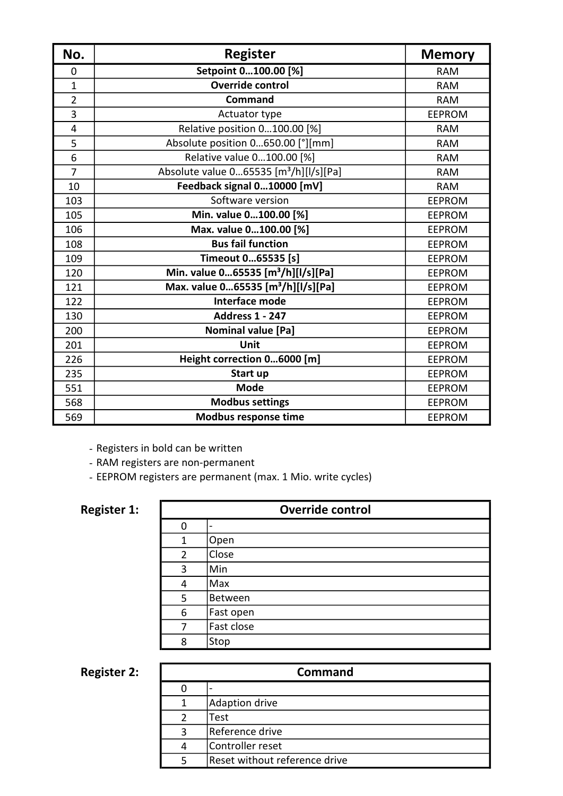| No.            | <b>Register</b>                                    | <b>Memory</b> |
|----------------|----------------------------------------------------|---------------|
| 0              | Setpoint 0100.00 [%]                               | <b>RAM</b>    |
| $\mathbf{1}$   | <b>Override control</b>                            | <b>RAM</b>    |
| $\overline{2}$ | <b>Command</b>                                     | <b>RAM</b>    |
| 3              | Actuator type                                      | <b>EEPROM</b> |
| 4              | Relative position 0100.00 [%]                      | <b>RAM</b>    |
| 5              | Absolute position 0650.00 [°][mm]                  | <b>RAM</b>    |
| 6              | Relative value 0100.00 [%]                         | <b>RAM</b>    |
| $\overline{7}$ | Absolute value 065535 [m <sup>3</sup> /h][l/s][Pa] | <b>RAM</b>    |
| 10             | Feedback signal 010000 [mV]                        | <b>RAM</b>    |
| 103            | Software version                                   | <b>EEPROM</b> |
| 105            | Min. value 0100.00 [%]                             | <b>EEPROM</b> |
| 106            | Max. value 0100.00 [%]                             | <b>EEPROM</b> |
| 108            | <b>Bus fail function</b>                           | <b>EEPROM</b> |
| 109            | Timeout 065535 [s]                                 | <b>EEPROM</b> |
| 120            | Min. value 065535 [m <sup>3</sup> /h][l/s][Pa]     | <b>EEPROM</b> |
| 121            | Max. value 065535 [m <sup>3</sup> /h][l/s][Pa]     | <b>EEPROM</b> |
| 122            | Interface mode                                     | <b>EEPROM</b> |
| 130            | <b>Address 1 - 247</b>                             | <b>EEPROM</b> |
| 200            | <b>Nominal value [Pa]</b>                          | <b>EEPROM</b> |
| 201            | Unit                                               | <b>EEPROM</b> |
| 226            | Height correction 06000 [m]                        | <b>EEPROM</b> |
| 235            | Start up                                           | <b>EEPROM</b> |
| 551            | <b>Mode</b>                                        | <b>EEPROM</b> |
| 568            | <b>Modbus settings</b>                             | <b>EEPROM</b> |
| 569            | Modbus response time                               | <b>EEPROM</b> |

- Registers in bold can be written

- RAM registers are non-permanent

- EEPROM registers are permanent (max. 1 Mio. write cycles)

#### Register 1:

| <b>Override control</b> |            |  |
|-------------------------|------------|--|
| O                       |            |  |
| 1                       | Open       |  |
| 2                       | Close      |  |
| 3                       | Min        |  |
| 4                       | Max        |  |
| 5                       | Between    |  |
| 6                       | Fast open  |  |
| 7                       | Fast close |  |
| 8                       | Stop       |  |

Register 2:

| <b>Command</b> |                               |  |  |
|----------------|-------------------------------|--|--|
|                |                               |  |  |
| 1              | Adaption drive                |  |  |
|                | Test                          |  |  |
| ς              | Reference drive               |  |  |
| Δ              | Controller reset              |  |  |
|                | Reset without reference drive |  |  |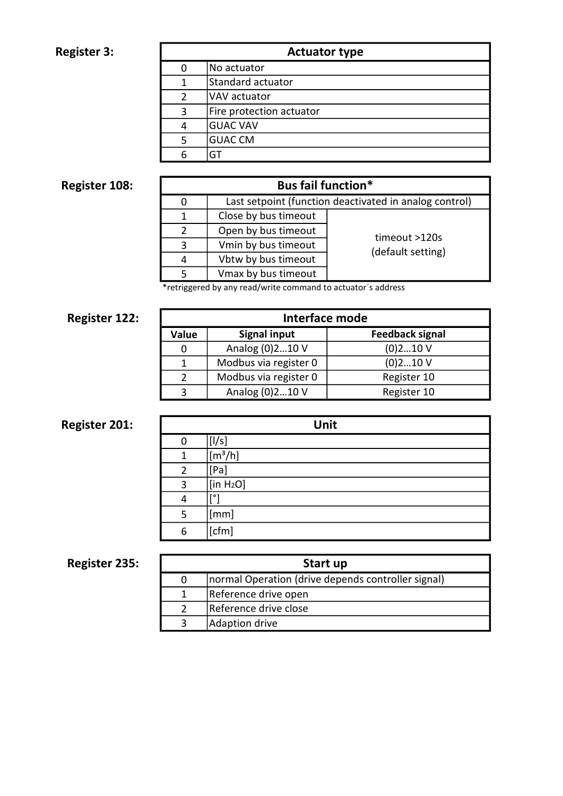### Register 3:

| <b>Actuator type</b> |                          |  |  |
|----------------------|--------------------------|--|--|
|                      | No actuator              |  |  |
|                      | Standard actuator        |  |  |
|                      | VAV actuator             |  |  |
| 3                    | Fire protection actuator |  |  |
|                      | <b>GUAC VAV</b>          |  |  |
|                      | <b>GUAC CM</b>           |  |  |
|                      | GT                       |  |  |

# Register 108:

| <b>Bus fail function*</b> |                                                        |                   |  |  |
|---------------------------|--------------------------------------------------------|-------------------|--|--|
| 0                         | Last setpoint (function deactivated in analog control) |                   |  |  |
| 1                         | Close by bus timeout                                   |                   |  |  |
| $\overline{2}$            | Open by bus timeout                                    | timeout >120s     |  |  |
| 3                         | Vmin by bus timeout                                    |                   |  |  |
| 4                         | Vbtw by bus timeout                                    | (default setting) |  |  |
| 5                         | Vmax by bus timeout                                    |                   |  |  |
|                           |                                                        |                   |  |  |

\*retriggered by any read/write command to actuator´s address

# Register 122:

| Interface mode |                       |                        |  |
|----------------|-----------------------|------------------------|--|
| Value          | <b>Signal input</b>   | <b>Feedback signal</b> |  |
| 0              | Analog (0)210 V       | $(0)$ 210 V            |  |
|                | Modbus via register 0 | $(0)$ 210 V            |  |
| $\mathcal{P}$  | Modbus via register 0 | Register 10            |  |
| ર              | Analog (0)210 V       | Register 10            |  |

# Register 201:

| Unit           |                             |  |
|----------------|-----------------------------|--|
| 0              | [1/s]                       |  |
| 1              | $\sqrt{m^3/h}$              |  |
| $\overline{2}$ | [Pa]                        |  |
| 3              | $[$ in H <sub>2</sub> O $]$ |  |
| 4              | [°]                         |  |
| 5              | [mm]                        |  |
| 6              | [cfm]                       |  |

# Register 235:

| Start up |                                                     |  |  |
|----------|-----------------------------------------------------|--|--|
|          | Inormal Operation (drive depends controller signal) |  |  |
|          | Reference drive open                                |  |  |
|          | Reference drive close                               |  |  |
|          | Adaption drive                                      |  |  |